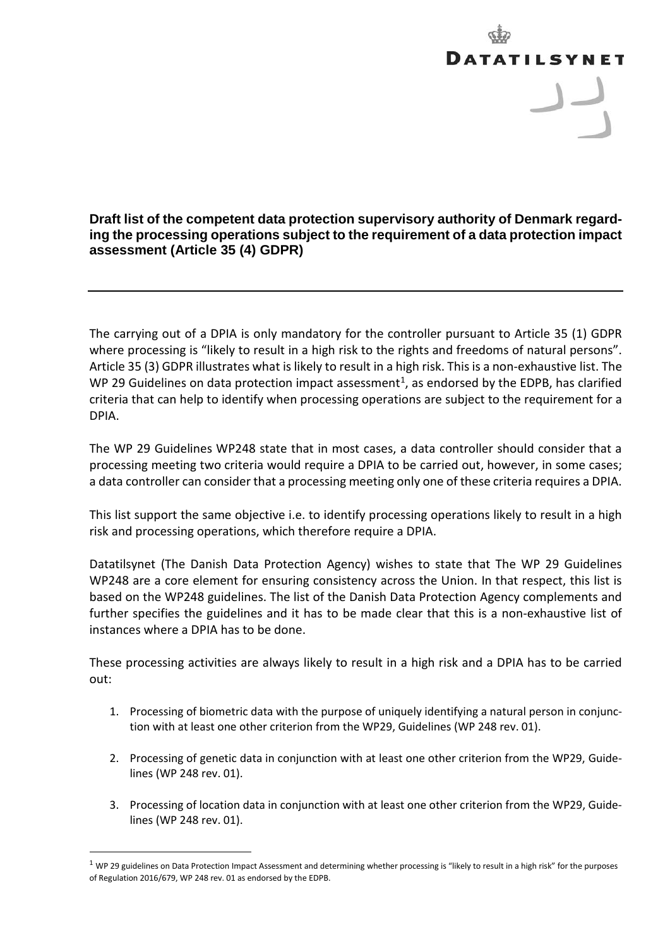## **DATATILSYNET** برر

**Draft list of the competent data protection supervisory authority of Denmark regarding the processing operations subject to the requirement of a data protection impact assessment (Article 35 (4) GDPR)**

The carrying out of a DPIA is only mandatory for the controller pursuant to Article 35 (1) GDPR where processing is "likely to result in a high risk to the rights and freedoms of natural persons". Article 35 (3) GDPR illustrates what is likely to result in a high risk. This is a non-exhaustive list. The WP 29 Guidelines on data protection impact assessment<sup>[1](#page-0-0)</sup>, as endorsed by the EDPB, has clarified criteria that can help to identify when processing operations are subject to the requirement for a DPIA.

The WP 29 Guidelines WP248 state that in most cases, a data controller should consider that a processing meeting two criteria would require a DPIA to be carried out, however, in some cases; a data controller can consider that a processing meeting only one of these criteria requires a DPIA.

This list support the same objective i.e. to identify processing operations likely to result in a high risk and processing operations, which therefore require a DPIA.

Datatilsynet (The Danish Data Protection Agency) wishes to state that The WP 29 Guidelines WP248 are a core element for ensuring consistency across the Union. In that respect, this list is based on the WP248 guidelines. The list of the Danish Data Protection Agency complements and further specifies the guidelines and it has to be made clear that this is a non-exhaustive list of instances where a DPIA has to be done.

These processing activities are always likely to result in a high risk and a DPIA has to be carried out:

- 1. Processing of biometric data with the purpose of uniquely identifying a natural person in conjunction with at least one other criterion from the WP29, Guidelines (WP 248 rev. 01).
- 2. Processing of genetic data in conjunction with at least one other criterion from the WP29, Guidelines (WP 248 rev. 01).
- 3. Processing of location data in conjunction with at least one other criterion from the WP29, Guidelines (WP 248 rev. 01).

 $\overline{a}$ 

<span id="page-0-0"></span> $1$  WP 29 guidelines on Data Protection Impact Assessment and determining whether processing is "likely to result in a high risk" for the purposes of Regulation 2016/679, WP 248 rev. 01 as endorsed by the EDPB.